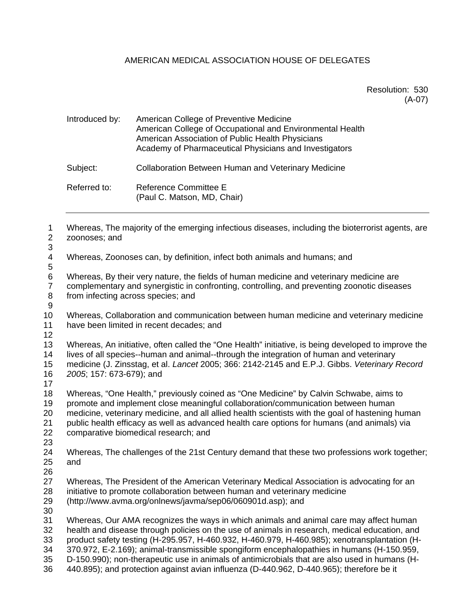## AMERICAN MEDICAL ASSOCIATION HOUSE OF DELEGATES

Resolution: 530 (A-07)

| Introduced by: | American College of Preventive Medicine<br>American College of Occupational and Environmental Health<br>American Association of Public Health Physicians<br>Academy of Pharmaceutical Physicians and Investigators |
|----------------|--------------------------------------------------------------------------------------------------------------------------------------------------------------------------------------------------------------------|
| Subject:       | <b>Collaboration Between Human and Veterinary Medicine</b>                                                                                                                                                         |
| Referred to:   | Reference Committee E<br>(Paul C. Matson, MD, Chair)                                                                                                                                                               |

1 Whereas, The majority of the emerging infectious diseases, including the bioterrorist agents, are 2 zoonoses; and 3 4 Whereas, Zoonoses can, by definition, infect both animals and humans; and 5 6 Whereas, By their very nature, the fields of human medicine and veterinary medicine are 7 complementary and synergistic in confronting, controlling, and preventing zoonotic diseases 8 from infecting across species; and 9 10 Whereas, Collaboration and communication between human medicine and veterinary medicine 11 have been limited in recent decades; and 12 13 Whereas, An initiative, often called the "One Health" initiative, is being developed to improve the 14 lives of all species--human and animal--through the integration of human and veterinary 15 medicine (J. Zinsstag, et al. *Lancet* 2005; 366: 2142-2145 and E.P.J. Gibbs. *Veterinary Record*  16 *2005*; 157: 673-679); and 17 18 Whereas, "One Health," previously coined as "One Medicine" by Calvin Schwabe, aims to 19 promote and implement close meaningful collaboration/communication between human 20 medicine, veterinary medicine, and all allied health scientists with the goal of hastening human 21 public health efficacy as well as advanced health care options for humans (and animals) via 22 comparative biomedical research; and 23 24 Whereas, The challenges of the 21st Century demand that these two professions work together; 25 and 26 27 Whereas, The President of the American Veterinary Medical Association is advocating for an 28 initiative to promote collaboration between human and veterinary medicine 29 (http://www.avma.org/onlnews/javma/sep06/060901d.asp); and 30 31 Whereas, Our AMA recognizes the ways in which animals and animal care may affect human 32 health and disease through policies on the use of animals in research, medical education, and 33 product safety testing (H-295.957, H-460.932, H-460.979, H-460.985); xenotransplantation (H-34 370.972, E-2.169); animal-transmissible spongiform encephalopathies in humans (H-150.959, 35 D-150.990); non-therapeutic use in animals of antimicrobials that are also used in humans (H-36 440.895); and protection against avian influenza (D-440.962, D-440.965); therefore be it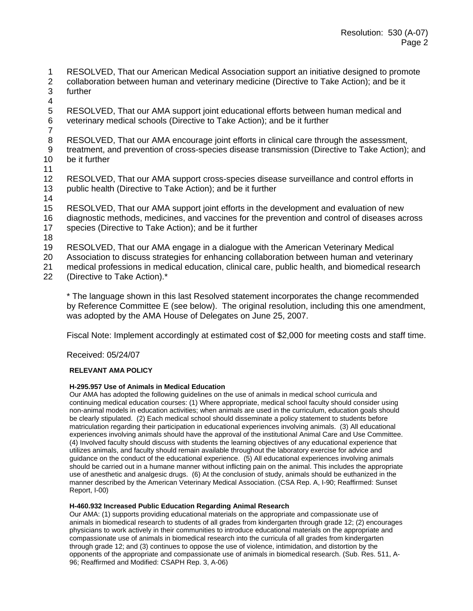1 RESOLVED, That our American Medical Association support an initiative designed to promote

- 2 collaboration between human and veterinary medicine (Directive to Take Action); and be it 3 further
- 4
- 5 RESOLVED, That our AMA support joint educational efforts between human medical and 6 veterinary medical schools (Directive to Take Action); and be it further
- $\frac{7}{8}$
- RESOLVED, That our AMA encourage joint efforts in clinical care through the assessment,
- 9 treatment, and prevention of cross-species disease transmission (Directive to Take Action); and 10 be it further
- 11
- 12 RESOLVED, That our AMA support cross-species disease surveillance and control efforts in 13 public health (Directive to Take Action); and be it further
- 14
- 15 RESOLVED, That our AMA support joint efforts in the development and evaluation of new 16 diagnostic methods, medicines, and vaccines for the prevention and control of diseases across
- 17 species (Directive to Take Action); and be it further
- 18
- 19 RESOLVED, That our AMA engage in a dialogue with the American Veterinary Medical
- 20 Association to discuss strategies for enhancing collaboration between human and veterinary
- 21 medical professions in medical education, clinical care, public health, and biomedical research<br>22 (Directive to Take Action).\* (Directive to Take Action).\*
	- \* The language shown in this last Resolved statement incorporates the change recommended by Reference Committee E (see below). The original resolution, including this one amendment, was adopted by the AMA House of Delegates on June 25, 2007.

Fiscal Note: Implement accordingly at estimated cost of \$2,000 for meeting costs and staff time.

Received: 05/24/07

#### **RELEVANT AMA POLICY**

#### **H-295.957 Use of Animals in Medical Education**

Our AMA has adopted the following guidelines on the use of animals in medical school curricula and continuing medical education courses: (1) Where appropriate, medical school faculty should consider using non-animal models in education activities; when animals are used in the curriculum, education goals should be clearly stipulated. (2) Each medical school should disseminate a policy statement to students before matriculation regarding their participation in educational experiences involving animals. (3) All educational experiences involving animals should have the approval of the institutional Animal Care and Use Committee. (4) Involved faculty should discuss with students the learning objectives of any educational experience that utilizes animals, and faculty should remain available throughout the laboratory exercise for advice and guidance on the conduct of the educational experience.  $(5)$  All educational experiences involving animals should be carried out in a humane manner without inflicting pain on the animal. This includes the appropriate use of anesthetic and analgesic drugs. (6) At the conclusion of study, animals should be euthanized in the manner described by the American Veterinary Medical Association. (CSA Rep. A, I-90; Reaffirmed: Sunset Report, I-00)

#### **H-460.932 Increased Public Education Regarding Animal Research**

Our AMA: (1) supports providing educational materials on the appropriate and compassionate use of animals in biomedical research to students of all grades from kindergarten through grade 12; (2) encourages physicians to work actively in their communities to introduce educational materials on the appropriate and compassionate use of animals in biomedical research into the curricula of all grades from kindergarten through grade 12; and (3) continues to oppose the use of violence, intimidation, and distortion by the opponents of the appropriate and compassionate use of animals in biomedical research. (Sub. Res. 511, A-96; Reaffirmed and Modified: CSAPH Rep. 3, A-06)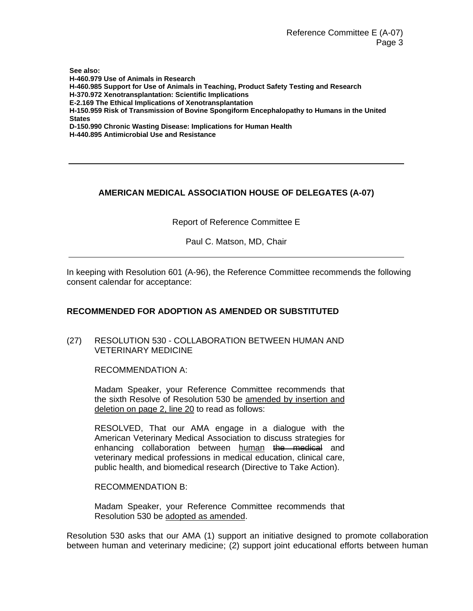Reference Committee E (A-07) Page 3

**See also: H-460.979 Use of Animals in Research H-460.985 Support for Use of Animals in Teaching, Product Safety Testing and Research H-370.972 Xenotransplantation: Scientific Implications E-2.169 The Ethical Implications of Xenotransplantation H-150.959 Risk of Transmission of Bovine Spongiform Encephalopathy to Humans in the United States D-150.990 Chronic Wasting Disease: Implications for Human Health H-440.895 Antimicrobial Use and Resistance** 

# **AMERICAN MEDICAL ASSOCIATION HOUSE OF DELEGATES (A-07)**

Report of Reference Committee E

Paul C. Matson, MD, Chair

In keeping with Resolution 601 (A-96), the Reference Committee recommends the following consent calendar for acceptance:

## **RECOMMENDED FOR ADOPTION AS AMENDED OR SUBSTITUTED**

(27) RESOLUTION 530 - COLLABORATION BETWEEN HUMAN AND VETERINARY MEDICINE

RECOMMENDATION A:

Madam Speaker, your Reference Committee recommends that the sixth Resolve of Resolution 530 be amended by insertion and deletion on page 2, line 20 to read as follows:

RESOLVED, That our AMA engage in a dialogue with the American Veterinary Medical Association to discuss strategies for enhancing collaboration between human the medical and veterinary medical professions in medical education, clinical care, public health, and biomedical research (Directive to Take Action).

RECOMMENDATION B:

Madam Speaker, your Reference Committee recommends that Resolution 530 be adopted as amended.

Resolution 530 asks that our AMA (1) support an initiative designed to promote collaboration between human and veterinary medicine; (2) support joint educational efforts between human